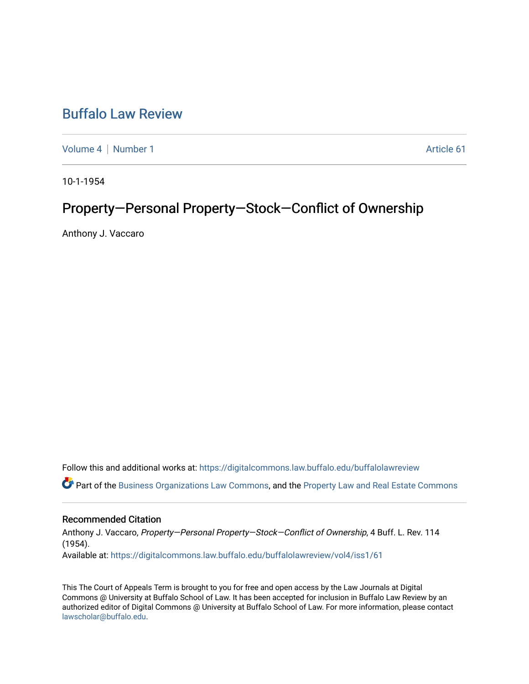## [Buffalo Law Review](https://digitalcommons.law.buffalo.edu/buffalolawreview)

[Volume 4](https://digitalcommons.law.buffalo.edu/buffalolawreview/vol4) | [Number 1](https://digitalcommons.law.buffalo.edu/buffalolawreview/vol4/iss1) Article 61

10-1-1954

# Property-Personal Property-Stock-Conflict of Ownership

Anthony J. Vaccaro

Follow this and additional works at: [https://digitalcommons.law.buffalo.edu/buffalolawreview](https://digitalcommons.law.buffalo.edu/buffalolawreview?utm_source=digitalcommons.law.buffalo.edu%2Fbuffalolawreview%2Fvol4%2Fiss1%2F61&utm_medium=PDF&utm_campaign=PDFCoverPages) 

Part of the [Business Organizations Law Commons](http://network.bepress.com/hgg/discipline/900?utm_source=digitalcommons.law.buffalo.edu%2Fbuffalolawreview%2Fvol4%2Fiss1%2F61&utm_medium=PDF&utm_campaign=PDFCoverPages), and the [Property Law and Real Estate Commons](http://network.bepress.com/hgg/discipline/897?utm_source=digitalcommons.law.buffalo.edu%2Fbuffalolawreview%2Fvol4%2Fiss1%2F61&utm_medium=PDF&utm_campaign=PDFCoverPages) 

### Recommended Citation

Anthony J. Vaccaro, Property—Personal Property—Stock—Conflict of Ownership, 4 Buff. L. Rev. 114 (1954). Available at: [https://digitalcommons.law.buffalo.edu/buffalolawreview/vol4/iss1/61](https://digitalcommons.law.buffalo.edu/buffalolawreview/vol4/iss1/61?utm_source=digitalcommons.law.buffalo.edu%2Fbuffalolawreview%2Fvol4%2Fiss1%2F61&utm_medium=PDF&utm_campaign=PDFCoverPages) 

This The Court of Appeals Term is brought to you for free and open access by the Law Journals at Digital Commons @ University at Buffalo School of Law. It has been accepted for inclusion in Buffalo Law Review by an authorized editor of Digital Commons @ University at Buffalo School of Law. For more information, please contact [lawscholar@buffalo.edu](mailto:lawscholar@buffalo.edu).